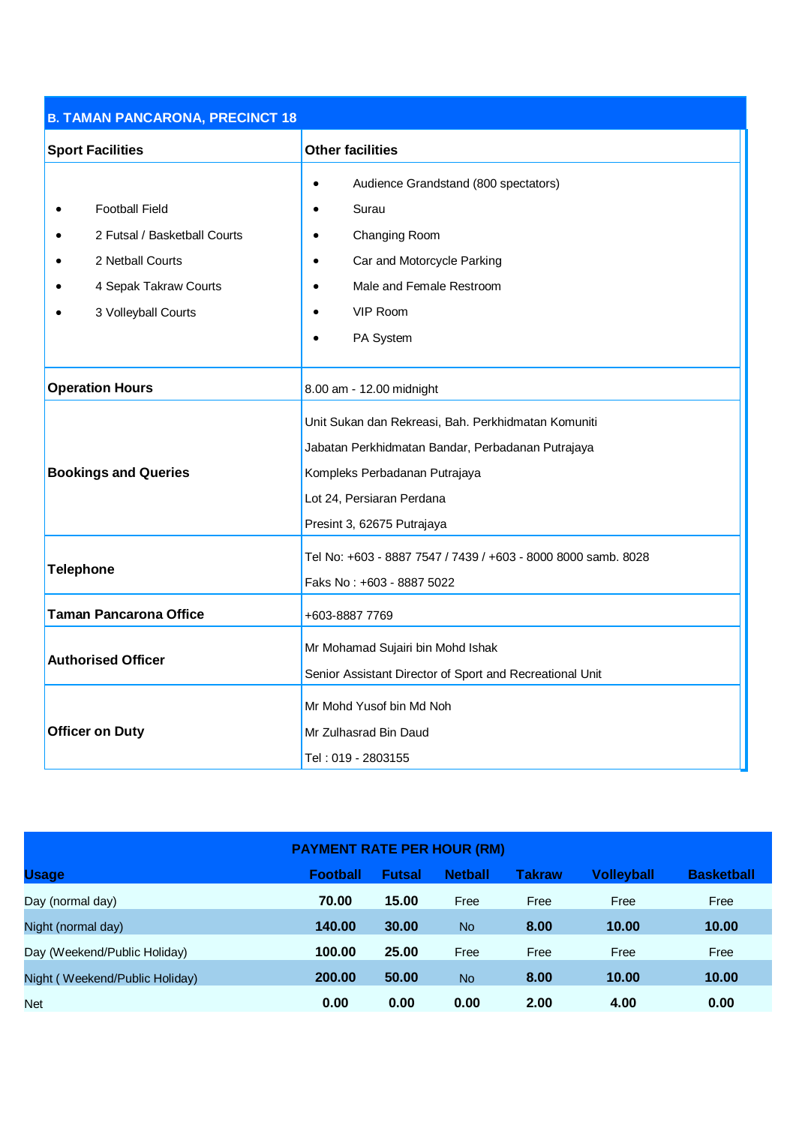| <b>B. TAMAN PANCARONA, PRECINCT 18</b> |                                                               |  |  |  |  |
|----------------------------------------|---------------------------------------------------------------|--|--|--|--|
| <b>Sport Facilities</b>                | <b>Other facilities</b>                                       |  |  |  |  |
|                                        | Audience Grandstand (800 spectators)                          |  |  |  |  |
| <b>Football Field</b>                  | Surau                                                         |  |  |  |  |
| 2 Futsal / Basketball Courts           | Changing Room                                                 |  |  |  |  |
| 2 Netball Courts                       | Car and Motorcycle Parking<br>$\bullet$                       |  |  |  |  |
| 4 Sepak Takraw Courts                  | Male and Female Restroom                                      |  |  |  |  |
| 3 Volleyball Courts                    | VIP Room                                                      |  |  |  |  |
|                                        | PA System                                                     |  |  |  |  |
|                                        |                                                               |  |  |  |  |
| <b>Operation Hours</b>                 | 8.00 am - 12.00 midnight                                      |  |  |  |  |
|                                        | Unit Sukan dan Rekreasi, Bah. Perkhidmatan Komuniti           |  |  |  |  |
| <b>Bookings and Queries</b>            | Jabatan Perkhidmatan Bandar, Perbadanan Putrajaya             |  |  |  |  |
|                                        | Kompleks Perbadanan Putrajaya                                 |  |  |  |  |
|                                        | Lot 24, Persiaran Perdana                                     |  |  |  |  |
|                                        | Presint 3, 62675 Putrajaya                                    |  |  |  |  |
|                                        | Tel No: +603 - 8887 7547 / 7439 / +603 - 8000 8000 samb. 8028 |  |  |  |  |
| <b>Telephone</b>                       | Faks No: +603 - 8887 5022                                     |  |  |  |  |
| <b>Taman Pancarona Office</b>          | +603-8887 7769                                                |  |  |  |  |
| <b>Authorised Officer</b>              | Mr Mohamad Sujairi bin Mohd Ishak                             |  |  |  |  |
|                                        | Senior Assistant Director of Sport and Recreational Unit      |  |  |  |  |
|                                        | Mr Mohd Yusof bin Md Noh                                      |  |  |  |  |
| <b>Officer on Duty</b>                 | Mr Zulhasrad Bin Daud                                         |  |  |  |  |
|                                        | Tel: 019 - 2803155                                            |  |  |  |  |

| <b>PAYMENT RATE PER HOUR (RM)</b> |                 |               |                |               |                   |                   |
|-----------------------------------|-----------------|---------------|----------------|---------------|-------------------|-------------------|
| <b>Usage</b>                      | <b>Football</b> | <b>Futsal</b> | <b>Netball</b> | <b>Takraw</b> | <b>Volleyball</b> | <b>Basketball</b> |
| Day (normal day)                  | 70.00           | 15.00         | Free           | Free          | Free              | Free              |
| Night (normal day)                | 140.00          | 30.00         | N <sub>o</sub> | 8.00          | 10.00             | 10.00             |
| Day (Weekend/Public Holiday)      | 100.00          | 25.00         | Free           | Free          | Free              | Free              |
| Night (Weekend/Public Holiday)    | 200.00          | 50.00         | <b>No</b>      | 8.00          | 10.00             | 10.00             |
| <b>Net</b>                        | 0.00            | 0.00          | 0.00           | 2.00          | 4.00              | 0.00              |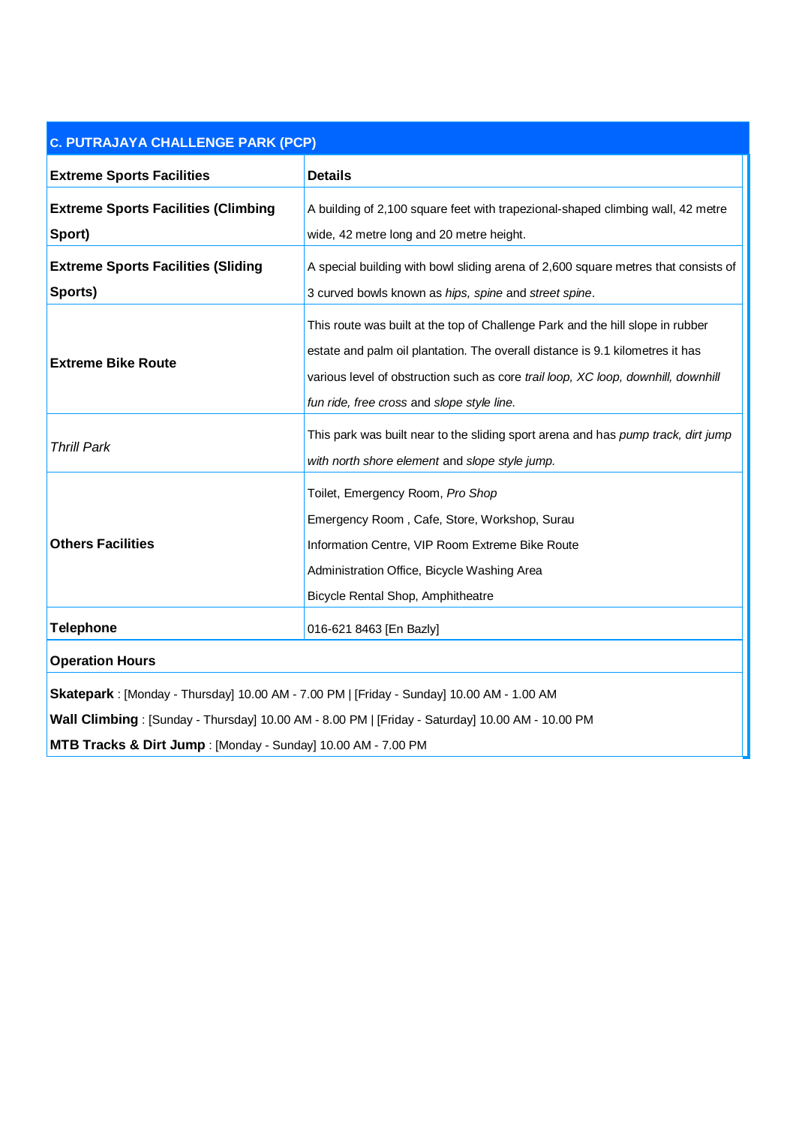| <b>C. PUTRAJAYA CHALLENGE PARK (PCP)</b>                                                                                                                                                                                                                     |                                                                                                                                                                                                                                                                                                    |  |  |  |
|--------------------------------------------------------------------------------------------------------------------------------------------------------------------------------------------------------------------------------------------------------------|----------------------------------------------------------------------------------------------------------------------------------------------------------------------------------------------------------------------------------------------------------------------------------------------------|--|--|--|
| <b>Extreme Sports Facilities</b>                                                                                                                                                                                                                             | <b>Details</b>                                                                                                                                                                                                                                                                                     |  |  |  |
| <b>Extreme Sports Facilities (Climbing</b><br>Sport)                                                                                                                                                                                                         | A building of 2,100 square feet with trapezional-shaped climbing wall, 42 metre<br>wide, 42 metre long and 20 metre height.                                                                                                                                                                        |  |  |  |
| <b>Extreme Sports Facilities (Sliding</b><br>Sports)                                                                                                                                                                                                         | A special building with bowl sliding arena of 2,600 square metres that consists of<br>3 curved bowls known as hips, spine and street spine.                                                                                                                                                        |  |  |  |
| <b>Extreme Bike Route</b>                                                                                                                                                                                                                                    | This route was built at the top of Challenge Park and the hill slope in rubber<br>estate and palm oil plantation. The overall distance is 9.1 kilometres it has<br>various level of obstruction such as core trail loop, XC loop, downhill, downhill<br>fun ride, free cross and slope style line. |  |  |  |
| <b>Thrill Park</b>                                                                                                                                                                                                                                           | This park was built near to the sliding sport arena and has pump track, dirt jump<br>with north shore element and slope style jump.                                                                                                                                                                |  |  |  |
| <b>Others Facilities</b>                                                                                                                                                                                                                                     | Toilet, Emergency Room, Pro Shop<br>Emergency Room, Cafe, Store, Workshop, Surau<br>Information Centre, VIP Room Extreme Bike Route<br>Administration Office, Bicycle Washing Area<br>Bicycle Rental Shop, Amphitheatre                                                                            |  |  |  |
| <b>Telephone</b>                                                                                                                                                                                                                                             | 016-621 8463 [En Bazly]                                                                                                                                                                                                                                                                            |  |  |  |
| <b>Operation Hours</b>                                                                                                                                                                                                                                       |                                                                                                                                                                                                                                                                                                    |  |  |  |
| Skatepark: [Monday - Thursday] 10.00 AM - 7.00 PM   [Friday - Sunday] 10.00 AM - 1.00 AM<br>Wall Climbing: [Sunday - Thursday] 10.00 AM - 8.00 PM   [Friday - Saturday] 10.00 AM - 10.00 PM<br>MTB Tracks & Dirt Jump : [Monday - Sunday] 10.00 AM - 7.00 PM |                                                                                                                                                                                                                                                                                                    |  |  |  |